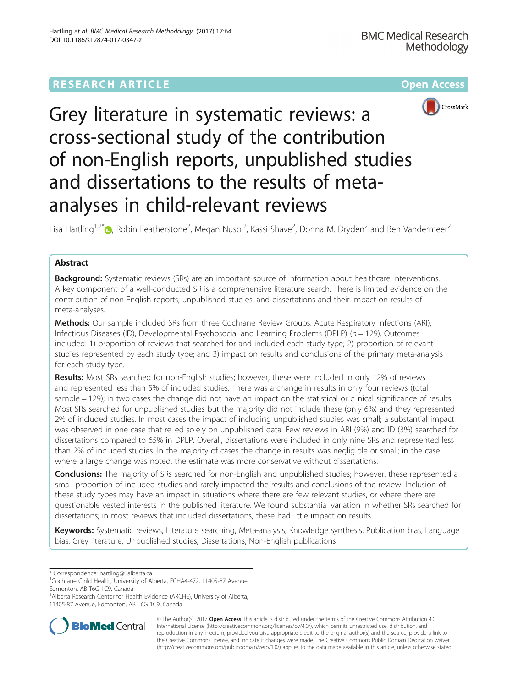# **RESEARCH ARTICLE Example 2014 12:30 The Contract of Contract Article 2014**



Grey literature in systematic reviews: a cross-sectional study of the contribution of non-English reports, unpublished studies and dissertations to the results of metaanalyses in child-relevant reviews

Lisa Hartling<sup>1[,](http://orcid.org/0000-0001-8341-3991)2\*</sup>®, Robin Featherstone<sup>2</sup>, Megan Nuspl<sup>2</sup>, Kassi Shave<sup>2</sup>, Donna M. Dryden<sup>2</sup> and Ben Vandermeer<sup>2</sup>

## Abstract

**Background:** Systematic reviews (SRs) are an important source of information about healthcare interventions. A key component of a well-conducted SR is a comprehensive literature search. There is limited evidence on the contribution of non-English reports, unpublished studies, and dissertations and their impact on results of meta-analyses.

Methods: Our sample included SRs from three Cochrane Review Groups: Acute Respiratory Infections (ARI), Infectious Diseases (ID), Developmental Psychosocial and Learning Problems (DPLP) ( $n = 129$ ). Outcomes included: 1) proportion of reviews that searched for and included each study type; 2) proportion of relevant studies represented by each study type; and 3) impact on results and conclusions of the primary meta-analysis for each study type.

Results: Most SRs searched for non-English studies; however, these were included in only 12% of reviews and represented less than 5% of included studies. There was a change in results in only four reviews (total sample = 129); in two cases the change did not have an impact on the statistical or clinical significance of results. Most SRs searched for unpublished studies but the majority did not include these (only 6%) and they represented 2% of included studies. In most cases the impact of including unpublished studies was small; a substantial impact was observed in one case that relied solely on unpublished data. Few reviews in ARI (9%) and ID (3%) searched for dissertations compared to 65% in DPLP. Overall, dissertations were included in only nine SRs and represented less than 2% of included studies. In the majority of cases the change in results was negligible or small; in the case where a large change was noted, the estimate was more conservative without dissertations.

Conclusions: The majority of SRs searched for non-English and unpublished studies; however, these represented a small proportion of included studies and rarely impacted the results and conclusions of the review. Inclusion of these study types may have an impact in situations where there are few relevant studies, or where there are questionable vested interests in the published literature. We found substantial variation in whether SRs searched for dissertations; in most reviews that included dissertations, these had little impact on results.

Keywords: Systematic reviews, Literature searching, Meta-analysis, Knowledge synthesis, Publication bias, Language bias, Grey literature, Unpublished studies, Dissertations, Non-English publications

<sup>11405-87</sup> Avenue, Edmonton, AB T6G 1C9, Canada



© The Author(s). 2017 **Open Access** This article is distributed under the terms of the Creative Commons Attribution 4.0 International License [\(http://creativecommons.org/licenses/by/4.0/](http://creativecommons.org/licenses/by/4.0/)), which permits unrestricted use, distribution, and reproduction in any medium, provided you give appropriate credit to the original author(s) and the source, provide a link to the Creative Commons license, and indicate if changes were made. The Creative Commons Public Domain Dedication waiver [\(http://creativecommons.org/publicdomain/zero/1.0/](http://creativecommons.org/publicdomain/zero/1.0/)) applies to the data made available in this article, unless otherwise stated.

<sup>\*</sup> Correspondence: [hartling@ualberta.ca](mailto:hartling@ualberta.ca) <sup>1</sup>

<sup>&</sup>lt;sup>1</sup>Cochrane Child Health, University of Alberta, ECHA4-472, 11405-87 Avenue, Edmonton, AB T6G 1C9, Canada

<sup>&</sup>lt;sup>2</sup> Alberta Research Center for Health Evidence (ARCHE), University of Alberta,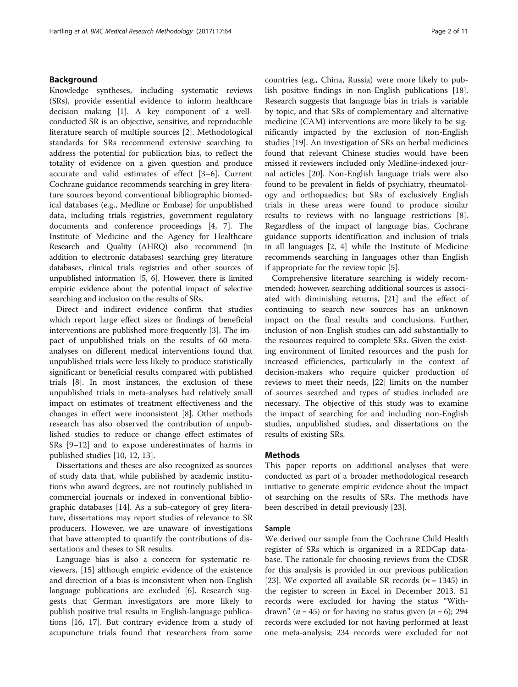## Background

Knowledge syntheses, including systematic reviews (SRs), provide essential evidence to inform healthcare decision making [[1\]](#page-9-0). A key component of a wellconducted SR is an objective, sensitive, and reproducible literature search of multiple sources [\[2\]](#page-9-0). Methodological standards for SRs recommend extensive searching to address the potential for publication bias, to reflect the totality of evidence on a given question and produce accurate and valid estimates of effect [\[3](#page-9-0)–[6](#page-9-0)]. Current Cochrane guidance recommends searching in grey literature sources beyond conventional bibliographic biomedical databases (e.g., Medline or Embase) for unpublished data, including trials registries, government regulatory documents and conference proceedings [[4](#page-9-0), [7\]](#page-9-0). The Institute of Medicine and the Agency for Healthcare Research and Quality (AHRQ) also recommend (in addition to electronic databases) searching grey literature databases, clinical trials registries and other sources of unpublished information [\[5](#page-9-0), [6](#page-9-0)]. However, there is limited empiric evidence about the potential impact of selective searching and inclusion on the results of SRs.

Direct and indirect evidence confirm that studies which report large effect sizes or findings of beneficial interventions are published more frequently [[3\]](#page-9-0). The impact of unpublished trials on the results of 60 metaanalyses on different medical interventions found that unpublished trials were less likely to produce statistically significant or beneficial results compared with published trials [\[8](#page-9-0)]. In most instances, the exclusion of these unpublished trials in meta-analyses had relatively small impact on estimates of treatment effectiveness and the changes in effect were inconsistent [\[8](#page-9-0)]. Other methods research has also observed the contribution of unpublished studies to reduce or change effect estimates of SRs [\[9](#page-9-0)–[12](#page-9-0)] and to expose underestimates of harms in published studies [\[10](#page-9-0), [12](#page-9-0), [13](#page-9-0)].

Dissertations and theses are also recognized as sources of study data that, while published by academic institutions who award degrees, are not routinely published in commercial journals or indexed in conventional bibliographic databases [\[14](#page-9-0)]. As a sub-category of grey literature, dissertations may report studies of relevance to SR producers. However, we are unaware of investigations that have attempted to quantify the contributions of dissertations and theses to SR results.

Language bias is also a concern for systematic reviewers, [[15\]](#page-9-0) although empiric evidence of the existence and direction of a bias is inconsistent when non-English language publications are excluded [[6\]](#page-9-0). Research suggests that German investigators are more likely to publish positive trial results in English-language publications [[16, 17\]](#page-9-0). But contrary evidence from a study of acupuncture trials found that researchers from some countries (e.g., China, Russia) were more likely to publish positive findings in non-English publications [\[18](#page-9-0)]. Research suggests that language bias in trials is variable by topic, and that SRs of complementary and alternative medicine (CAM) interventions are more likely to be significantly impacted by the exclusion of non-English studies [\[19\]](#page-9-0). An investigation of SRs on herbal medicines found that relevant Chinese studies would have been missed if reviewers included only Medline-indexed journal articles [\[20](#page-9-0)]. Non-English language trials were also found to be prevalent in fields of psychiatry, rheumatology and orthopaedics; but SRs of exclusively English trials in these areas were found to produce similar results to reviews with no language restrictions [\[8](#page-9-0)]. Regardless of the impact of language bias, Cochrane guidance supports identification and inclusion of trials in all languages [[2](#page-9-0), [4](#page-9-0)] while the Institute of Medicine recommends searching in languages other than English if appropriate for the review topic [\[5](#page-9-0)].

Comprehensive literature searching is widely recommended; however, searching additional sources is associated with diminishing returns, [\[21](#page-9-0)] and the effect of continuing to search new sources has an unknown impact on the final results and conclusions. Further, inclusion of non-English studies can add substantially to the resources required to complete SRs. Given the existing environment of limited resources and the push for increased efficiencies, particularly in the context of decision-makers who require quicker production of reviews to meet their needs, [\[22](#page-9-0)] limits on the number of sources searched and types of studies included are necessary. The objective of this study was to examine the impact of searching for and including non-English studies, unpublished studies, and dissertations on the results of existing SRs.

## Methods

This paper reports on additional analyses that were conducted as part of a broader methodological research initiative to generate empiric evidence about the impact of searching on the results of SRs. The methods have been described in detail previously [[23](#page-9-0)].

#### Sample

We derived our sample from the Cochrane Child Health register of SRs which is organized in a REDCap database. The rationale for choosing reviews from the CDSR for this analysis is provided in our previous publication [[23\]](#page-9-0). We exported all available SR records ( $n = 1345$ ) in the register to screen in Excel in December 2013. 51 records were excluded for having the status "Withdrawn" (*n* = 45) or for having no status given (*n* = 6); 294 records were excluded for not having performed at least one meta-analysis; 234 records were excluded for not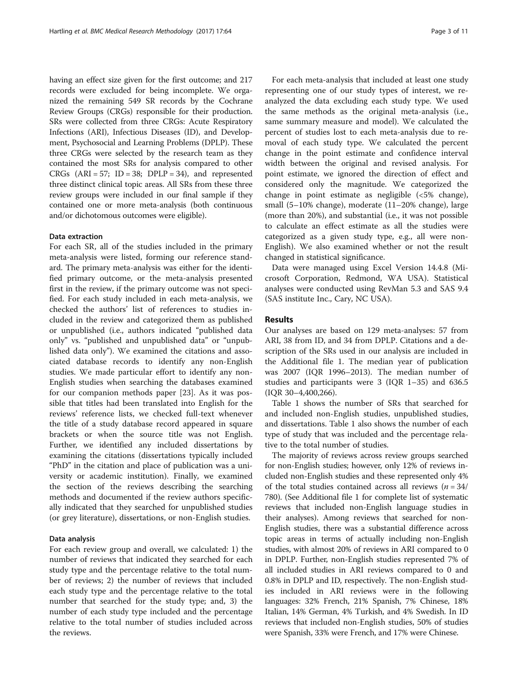having an effect size given for the first outcome; and 217 records were excluded for being incomplete. We organized the remaining 549 SR records by the Cochrane Review Groups (CRGs) responsible for their production. SRs were collected from three CRGs: Acute Respiratory Infections (ARI), Infectious Diseases (ID), and Development, Psychosocial and Learning Problems (DPLP). These three CRGs were selected by the research team as they contained the most SRs for analysis compared to other CRGs  $(ARI = 57; ID = 38; DPLP = 34)$ , and represented three distinct clinical topic areas. All SRs from these three review groups were included in our final sample if they contained one or more meta-analysis (both continuous and/or dichotomous outcomes were eligible).

## Data extraction

For each SR, all of the studies included in the primary meta-analysis were listed, forming our reference standard. The primary meta-analysis was either for the identified primary outcome, or the meta-analysis presented first in the review, if the primary outcome was not specified. For each study included in each meta-analysis, we checked the authors' list of references to studies included in the review and categorized them as published or unpublished (i.e., authors indicated "published data only" vs. "published and unpublished data" or "unpublished data only"). We examined the citations and associated database records to identify any non-English studies. We made particular effort to identify any non-English studies when searching the databases examined for our companion methods paper [[23\]](#page-9-0). As it was possible that titles had been translated into English for the reviews' reference lists, we checked full-text whenever the title of a study database record appeared in square brackets or when the source title was not English. Further, we identified any included dissertations by examining the citations (dissertations typically included "PhD" in the citation and place of publication was a university or academic institution). Finally, we examined the section of the reviews describing the searching methods and documented if the review authors specifically indicated that they searched for unpublished studies (or grey literature), dissertations, or non-English studies.

## Data analysis

For each review group and overall, we calculated: 1) the number of reviews that indicated they searched for each study type and the percentage relative to the total number of reviews; 2) the number of reviews that included each study type and the percentage relative to the total number that searched for the study type; and, 3) the number of each study type included and the percentage relative to the total number of studies included across the reviews.

For each meta-analysis that included at least one study representing one of our study types of interest, we reanalyzed the data excluding each study type. We used the same methods as the original meta-analysis (i.e., same summary measure and model). We calculated the percent of studies lost to each meta-analysis due to removal of each study type. We calculated the percent change in the point estimate and confidence interval width between the original and revised analysis. For point estimate, we ignored the direction of effect and considered only the magnitude. We categorized the change in point estimate as negligible (<5% change), small (5–10% change), moderate (11–20% change), large (more than 20%), and substantial (i.e., it was not possible to calculate an effect estimate as all the studies were categorized as a given study type, e.g., all were non-English). We also examined whether or not the result changed in statistical significance.

Data were managed using Excel Version 14.4.8 (Microsoft Corporation, Redmond, WA USA). Statistical analyses were conducted using RevMan 5.3 and SAS 9.4 (SAS institute Inc., Cary, NC USA).

## Results

Our analyses are based on 129 meta-analyses: 57 from ARI, 38 from ID, and 34 from DPLP. Citations and a description of the SRs used in our analysis are included in the Additional file [1.](#page-8-0) The median year of publication was 2007 (IQR 1996–2013). The median number of studies and participants were 3 (IQR 1–35) and 636.5 (IQR 30–4,400,266).

Table [1](#page-3-0) shows the number of SRs that searched for and included non-English studies, unpublished studies, and dissertations. Table [1](#page-3-0) also shows the number of each type of study that was included and the percentage relative to the total number of studies.

The majority of reviews across review groups searched for non-English studies; however, only 12% of reviews included non-English studies and these represented only 4% of the total studies contained across all reviews ( $n = 34$ / 780). (See Additional file [1](#page-8-0) for complete list of systematic reviews that included non-English language studies in their analyses). Among reviews that searched for non-English studies, there was a substantial difference across topic areas in terms of actually including non-English studies, with almost 20% of reviews in ARI compared to 0 in DPLP. Further, non-English studies represented 7% of all included studies in ARI reviews compared to 0 and 0.8% in DPLP and ID, respectively. The non-English studies included in ARI reviews were in the following languages: 32% French, 21% Spanish, 7% Chinese, 18% Italian, 14% German, 4% Turkish, and 4% Swedish. In ID reviews that included non-English studies, 50% of studies were Spanish, 33% were French, and 17% were Chinese.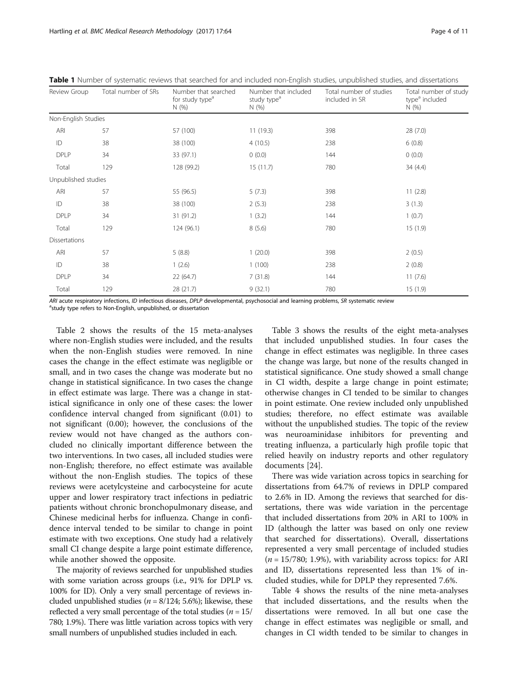| Review Group         | Total number of SRs | Number that searched<br>for study type <sup>a</sup><br>N(%) | Number that included<br>study type <sup>a</sup><br>N(%) | Total number of studies<br>included in SR | Total number of study<br>type <sup>a</sup> included<br>N (%) |
|----------------------|---------------------|-------------------------------------------------------------|---------------------------------------------------------|-------------------------------------------|--------------------------------------------------------------|
| Non-English Studies  |                     |                                                             |                                                         |                                           |                                                              |
| ARI                  | 57                  | 57 (100)                                                    | 11(19.3)                                                | 398                                       | 28(7.0)                                                      |
| ID                   | 38                  | 38 (100)                                                    | 4(10.5)                                                 | 238                                       | 6(0.8)                                                       |
| <b>DPLP</b>          | 34                  | 33 (97.1)                                                   | 0(0.0)                                                  | 144                                       | 0(0.0)                                                       |
| Total                | 129                 | 128 (99.2)                                                  | 15(11.7)                                                | 780                                       | 34(4.4)                                                      |
| Unpublished studies  |                     |                                                             |                                                         |                                           |                                                              |
| ARI                  | 57                  | 55 (96.5)                                                   | 5(7.3)                                                  | 398                                       | 11(2.8)                                                      |
| ID                   | 38                  | 38 (100)                                                    | 2(5.3)                                                  | 238                                       | 3(1.3)                                                       |
| <b>DPLP</b>          | 34                  | 31 (91.2)                                                   | 1(3.2)                                                  | 144                                       | 1(0.7)                                                       |
| Total                | 129                 | 124 (96.1)                                                  | 8(5.6)                                                  | 780                                       | 15(1.9)                                                      |
| <b>Dissertations</b> |                     |                                                             |                                                         |                                           |                                                              |
| ARI                  | 57                  | 5(8.8)                                                      | 1(20.0)                                                 | 398                                       | 2(0.5)                                                       |
| ID                   | 38                  | 1(2.6)                                                      | 1(100)                                                  | 238                                       | 2(0.8)                                                       |
| <b>DPLP</b>          | 34                  | 22 (64.7)                                                   | 7(31.8)                                                 | 144                                       | 11(7.6)                                                      |
| Total                | 129                 | 28 (21.7)                                                   | 9(32.1)                                                 | 780                                       | 15(1.9)                                                      |

<span id="page-3-0"></span>Table 1 Number of systematic reviews that searched for and included non-English studies, unpublished studies, and dissertations

ARI acute respiratory infections, ID infectious diseases, DPLP developmental, psychosocial and learning problems, SR systematic review astudy type refers to Non-English, unpublished, or dissertation

Table [2](#page-4-0) shows the results of the 15 meta-analyses where non-English studies were included, and the results when the non-English studies were removed. In nine cases the change in the effect estimate was negligible or small, and in two cases the change was moderate but no change in statistical significance. In two cases the change in effect estimate was large. There was a change in statistical significance in only one of these cases: the lower confidence interval changed from significant (0.01) to not significant (0.00); however, the conclusions of the review would not have changed as the authors concluded no clinically important difference between the two interventions. In two cases, all included studies were non-English; therefore, no effect estimate was available without the non-English studies. The topics of these reviews were acetylcysteine and carbocysteine for acute upper and lower respiratory tract infections in pediatric patients without chronic bronchopulmonary disease, and Chinese medicinal herbs for influenza. Change in confidence interval tended to be similar to change in point estimate with two exceptions. One study had a relatively small CI change despite a large point estimate difference, while another showed the opposite.

The majority of reviews searched for unpublished studies with some variation across groups (i.e., 91% for DPLP vs. 100% for ID). Only a very small percentage of reviews included unpublished studies ( $n = 8/124$ ; 5.6%); likewise, these reflected a very small percentage of the total studies ( $n = 15/$ 780; 1.9%). There was little variation across topics with very small numbers of unpublished studies included in each.

Table [3](#page-5-0) shows the results of the eight meta-analyses that included unpublished studies. In four cases the change in effect estimates was negligible. In three cases the change was large, but none of the results changed in statistical significance. One study showed a small change in CI width, despite a large change in point estimate; otherwise changes in CI tended to be similar to changes in point estimate. One review included only unpublished studies; therefore, no effect estimate was available without the unpublished studies. The topic of the review was neuroaminidase inhibitors for preventing and treating influenza, a particularly high profile topic that relied heavily on industry reports and other regulatory documents [[24\]](#page-9-0).

There was wide variation across topics in searching for dissertations from 64.7% of reviews in DPLP compared to 2.6% in ID. Among the reviews that searched for dissertations, there was wide variation in the percentage that included dissertations from 20% in ARI to 100% in ID (although the latter was based on only one review that searched for dissertations). Overall, dissertations represented a very small percentage of included studies  $(n = 15/780; 1.9%)$ , with variability across topics: for ARI and ID, dissertations represented less than 1% of included studies, while for DPLP they represented 7.6%.

Table [4](#page-6-0) shows the results of the nine meta-analyses that included dissertations, and the results when the dissertations were removed. In all but one case the change in effect estimates was negligible or small, and changes in CI width tended to be similar to changes in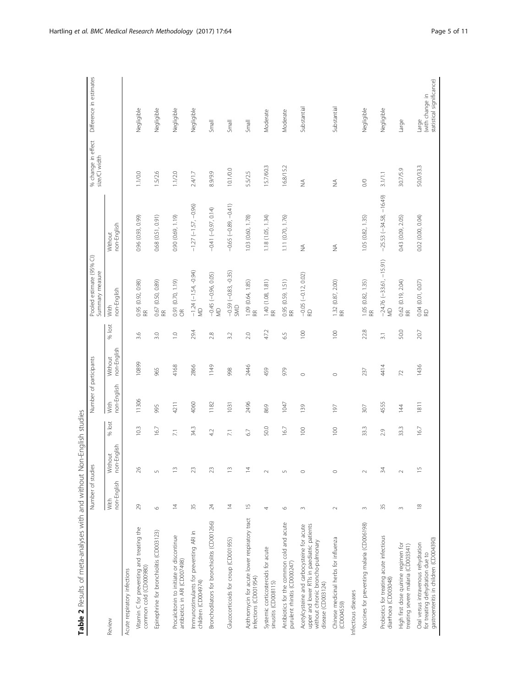<span id="page-4-0"></span>

|                                                                                                                                                      | Number of studies   |                        |                | Number of participants |                        |                  | Pooled estimate (95% CI)<br>Summary measure         |                               | % change in effect<br>size/Cl width | Difference in estimates                               |
|------------------------------------------------------------------------------------------------------------------------------------------------------|---------------------|------------------------|----------------|------------------------|------------------------|------------------|-----------------------------------------------------|-------------------------------|-------------------------------------|-------------------------------------------------------|
| Review                                                                                                                                               | non-English<br>With | non-English<br>Without | $%$ lost       | non-English<br>With    | non-English<br>Without | $\%$ lost        | non-English<br>With                                 | non-English<br>Without        |                                     |                                                       |
| Acute respiratory infections                                                                                                                         |                     |                        |                |                        |                        |                  |                                                     |                               |                                     |                                                       |
| Vitamin C for preventing and treating the<br>common cold (CD000980)                                                                                  | 29                  | 26                     | 10.3           | 11306                  | 10899                  | 3.6              | 0.95 (0.92, 0.98)<br>$\approx$                      | 0.96 (0.93, 0.99)             | 1.1/0.0                             | Negligible                                            |
| Epinephrine for bronchiolitis (CD003123)                                                                                                             | $\circ$             | $\sqrt{2}$             | 16.7           | 995                    | 965                    | 3.0              | $0.67(0.50, 0.89)$<br>RR                            | 0.68 (0.51, 0.91)             | 1.5/2.6                             | Negligible                                            |
| Procalcitonin to initiate or discontinue<br>antibiotics in ARI (CD007498)                                                                            | $\bar{4}$           | $\frac{3}{2}$          | $\overline{z}$ | 4211                   | 4168                   | $\supseteq$      | 0.91 (0.70, 1.19)<br>OR                             | 0.90 (0.69, 1.19)             | 1.1/2.0                             | Negligible                                            |
| Immunostimulants for preventing ARI in<br>children (CD004974)                                                                                        | 35                  | 23                     | 34.3           | 4060                   | 2866                   | 29.4             | $-1.24 (-1.54, -0.94)$<br>$\infty$                  | $-1.27$ ( $-1.57$ , $-0.96$ ) | 2.4/1.7                             | Negligible                                            |
| Bronchodilators for bronchiolitis (CD001266)                                                                                                         | $\overline{24}$     | 23                     | 42             | 1182                   | 1149                   | 2.8              | $-0.45 (-0.96, 0.05)$<br>$\infty$                   | $-0.41(-0.97, 0.14)$          | 8.9/9.9                             | Small                                                 |
| Glucocorticoids for croup (CD001955)                                                                                                                 | $\overline{4}$      | $\frac{1}{2}$          | $\overline{z}$ | 1031                   | 998                    | 3.2              | $-0.59 (-0.83, -0.35)$<br>SMD                       | $-0.65(-0.89, -0.41)$         | 10.1/0.0                            | Small                                                 |
| Azithromycin for acute lower respiratory tract<br>infections (CD001954)                                                                              | 15                  | $\overline{4}$         | 67             | 2496                   | 2446                   | 2.0              | 1.09 (0.64, 1.85)<br>RR                             | 1.03 (0.60, 1.78)             | 5.5/2.5                             | Small                                                 |
| Systemic corticosteroids for acute<br>sinusitis (CD008115)                                                                                           | 4                   | $\sim$                 | 50.0           | 869                    | 459                    | 47.2             | 1.40 (1.08, 1.81)<br>$\underset{\text{R}}{\approx}$ | 1.18 (1.05, 1.34)             | 15.7/60.3                           | Moderate                                              |
| Antibiotics for the common cold and acute<br>purulent rhinitis (CD000247)                                                                            | $\circ$             | $\sqrt{2}$             | 16.7           | 1047                   | 979                    | 6.5              | 0.95 (0.59, 1.51)<br>$\underset{\text{R}}{\approx}$ | 1.11 (0.70, 1.76)             | 16.8/15.2                           | Moderate                                              |
| upper and lower RTIs in paediatric patients<br>Acetylcysteine and carbocysteine for acute<br>without chronic broncho-pulmonary<br>disease (CD003124) | $\infty$            | $\circ$                | 100            | 139                    | $\circ$                | 100              | $-0.05 (-0.12, 0.02)$<br>RD                         | $\lessgtr$                    | $\frac{1}{2}$                       | Substantial                                           |
| Chinese medicinal herbs for influenza<br>(CD004559)                                                                                                  | $\sim$              | $\circ$                | 100            | 197                    | $\circ$                | 100              | $1.32(0.87, 2.00)$<br>RR                            | $\lessgtr$                    | $\lessgtr$                          | Substantial                                           |
| Infectious diseases                                                                                                                                  |                     |                        |                |                        |                        |                  |                                                     |                               |                                     |                                                       |
| Vaccines for preventing malaria (CD006198)                                                                                                           | $\infty$            | $\sim$                 | 33.3           | 307                    | 237                    | 22.8             | 1.05 (0.82, 1.35)<br>RR                             | 1.05 (0.82, 1.35)             | $\frac{8}{2}$                       | Negligible                                            |
| Probiotics for treating acute infectious<br>diarrhoea (CD003048)                                                                                     | 35                  | 34                     | 2.9            | 4555                   | 4414                   | $\overline{3}$ . | $-24.76 (-33.61, -15.91)$<br>MD                     | $-25.53(-34.58, -16.49)$      | 3.1/1.1                             | Negligible                                            |
| High first dose quinine regimen for<br>treating severe malaria (CD003341)                                                                            | $\infty$            | $\sim$                 | 33.3           | $\overline{4}$         | 2                      | 50.0             | $0.62(0.19, 2.04)$<br>RR                            | 0.43 (0.09, 2.05)             | 30.7/5.9                            | Large                                                 |
| gastroenteritis in children (CD004390)<br>Oral versus intravenous rehydration<br>for treating dehydration due to                                     | $\approx$           | $\frac{5}{1}$          | 16.7           | 1811                   | 1436                   | 20.7             | 0.04 (0.01, 0.07)<br>$\rm{R}$                       | 0.02 (0.00, 0.04)             | 50.0/33.3                           | statistical significance)<br>(with change in<br>Large |

Table 2 Results of meta-analyses with and without Non-English studies Table 2 Results of meta-analyses with and without Non-English studies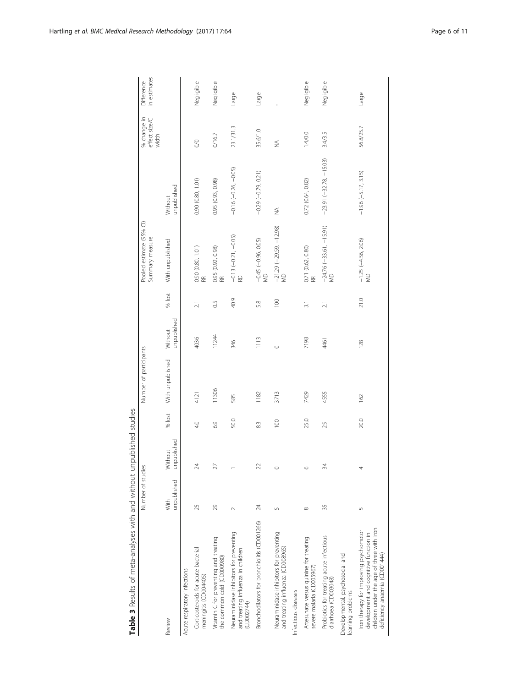<span id="page-5-0"></span>

|                                                                                                                                                               | Number of studies   |                        |        | Number of participants |                        |                  | Pooled estimate (95% CI)<br>Summary measure      |                          | % change in<br>effect size/CI<br>width | in estimates<br>Difference |
|---------------------------------------------------------------------------------------------------------------------------------------------------------------|---------------------|------------------------|--------|------------------------|------------------------|------------------|--------------------------------------------------|--------------------------|----------------------------------------|----------------------------|
| Review                                                                                                                                                        | unpublished<br>With | unpublished<br>Without | % lost | With unpublished       | unpublished<br>Without | % lost           | With unpublished                                 | unpublished<br>Without   |                                        |                            |
| Acute respiratory infections                                                                                                                                  |                     |                        |        |                        |                        |                  |                                                  |                          |                                        |                            |
| Corticosteroids for acute bacterial<br>meningitis (CD004405)                                                                                                  | 25                  | $\overline{24}$        | 40     | 4121                   | 4036                   | $\overline{21}$  | 0.90 (0.80, 1.01)<br>RR.                         | 0.90 (0.80, 1.01)        | $\infty$                               | Negligible                 |
| Vitamin C for preventing and treating<br>the common cold (CD000980)                                                                                           | 29                  | 27                     | 6.9    | 11306                  | 11244                  | 0.5              | 0.95 (0.92, 0.98)<br>Æ                           | 0.95 (0.93, 0.98)        | 0/16.7                                 | Negligible                 |
| Neuraminidase inhibitors for preventing<br>and treating influenza in children<br>(CD002744)                                                                   | $\sim$              |                        | 50.0   | 585                    | 346                    | 40.9             | $-0.13(-0.21, -0.05)$<br>RD                      | $-0.16(-0.26, -0.05)$    | 23.1/31.3                              | Large                      |
| Bronchodilators for bronchiolitis (CD001266)                                                                                                                  | $\overline{24}$     | 22                     | 83     | 1182                   | 1113                   | 5.8              | $-0.45 (-0.96, 0.05)$<br>$\overline{\mathsf{S}}$ | $-0.29(-0.79, 0.21)$     | 35.6/1.0                               | Large                      |
| Neuraminidase inhibitors for preventing<br>and treating influenza (CD008965)                                                                                  | $\sqrt{2}$          | $\circ$                | 100    | 3713                   | $\circ$                | 100              | $-21.29 (-29.59, -12.98)$<br>MD                  | ₹                        | $\widetilde{\geq}$                     |                            |
| Infectious diseases                                                                                                                                           |                     |                        |        |                        |                        |                  |                                                  |                          |                                        |                            |
| Artesunate versus quinine for treating<br>severe malaria (CD005967)                                                                                           | $\infty$            | $\circ$                | 25.0   | 7429                   | 7198                   | $\overline{3}$ . | 0.71 (0.62, 0.80)<br>Æ                           | 0.72 (0.64, 0.82)        | 14/0.0                                 | Negligible                 |
| Probiotics for treating acute infectious<br>diarrhoea (CD003048)                                                                                              | 35                  | 34                     | 2.9    | 4555                   | 4461                   | $\overline{21}$  | -24.76 (-33.61, -15.91)<br>MD                    | $-23.91(-32.78, -15.03)$ | 3.4/3.5                                | Negligible                 |
| Developmental, psychosocial and<br>learning problems                                                                                                          |                     |                        |        |                        |                        |                  |                                                  |                          |                                        |                            |
| children under the age of three with iron<br>Iron therapy for improving psychomotor<br>development and cognitive function in<br>deficiency anaemia (CD001444) | 5                   | 4                      | 20.0   | 162                    | 128                    | 21.0             | $-1.25 (-4.56, 2.06)$<br>MD                      | $-1.96(-5.17, 3.15)$     | 56.8/25.7                              | Large                      |

Table 3 Results of meta-analyses with and without unpublished studies Table 3 Results of meta-analyses with and without unpublished studies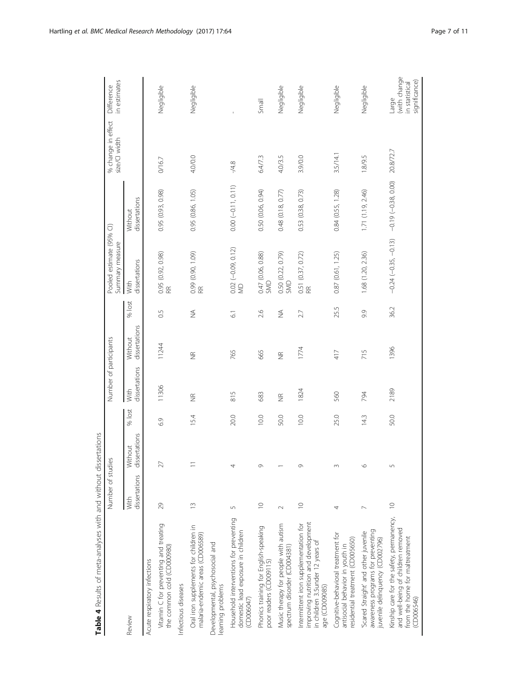<span id="page-6-0"></span>

| Table 4 Results of meta-analyses with and without dis                                                                               | Number of studies     | sertations               |          | Number of participants |                          |                              | Pooled estimate (95% CI)<br>Summary measure |                          | % change in effect<br>size/CI width | in estimates<br>Difference                               |
|-------------------------------------------------------------------------------------------------------------------------------------|-----------------------|--------------------------|----------|------------------------|--------------------------|------------------------------|---------------------------------------------|--------------------------|-------------------------------------|----------------------------------------------------------|
| Review                                                                                                                              | dissertations<br>With | dissertations<br>Without | $%$ lost | dissertations<br>With  | dissertations<br>Without | $%$ lost                     | dissertations<br>With                       | dissertations<br>Without |                                     |                                                          |
| Acute respiratory infections                                                                                                        |                       |                          |          |                        |                          |                              |                                             |                          |                                     |                                                          |
| Vitamin C for preventing and treating<br>the common cold (CD000980)                                                                 | 29                    | 27                       | 6.9      | 11306                  | 11244                    | 0.5                          | 0.95 (0.92, 0.98)<br>RR                     | 0.95 (0.93, 0.98)        | 0/16.7                              | Negligible                                               |
| Infectious diseases                                                                                                                 |                       |                          |          |                        |                          |                              |                                             |                          |                                     |                                                          |
| Oral iron supplements for children in<br>malaria-endemic areas (CD006589)                                                           | $\frac{1}{2}$         |                          | 15.4     | $\widetilde{\Xi}$      | $\frac{\alpha}{Z}$       | $\lessgtr$                   | 0.99 (0.90, 1.09)<br>RR                     | 0.95 (0.86, 1.05)        | 4.0/0.0                             | Negligible                                               |
| Developmental, psychosocial and<br>learning problems                                                                                |                       |                          |          |                        |                          |                              |                                             |                          |                                     |                                                          |
| Household interventions for preventing<br>domestic lead exposure in children<br>(CD006047)                                          | 5                     | 4                        | 20.0     | 815                    | 765                      | $\overline{6}$               | $0.02$ (-0.09, 0.12)<br>MD                  | $0.00 (-0.11, 0.11)$     | $-74.8$                             |                                                          |
| Phonics training for English-speaking<br>poor readers (CD009115)                                                                    | $\supseteq$           | 0                        | 0.01     | 683                    | 665                      | 2.6                          | 0.47 (0.06, 0.88)<br>SMD                    | 0.50 (0.06, 0.94)        | 6.4/7.3                             | Small                                                    |
| Music therapy for people with autism<br>spectrum disorder (CD004381)                                                                | $\sim$                |                          | 50.0     | $\widetilde{\Xi}$      | $\widetilde{\Xi}$        | $\stackrel{\triangle}{\geq}$ | 0.50 (0.22, 0.79)<br>SMD                    | 0.48 (0.18, 0.77)        | 4.0/3.5                             | Negligible                                               |
| improving nutrition and development<br>Intermittent iron supplementation for<br>in children 3.5 under 12 years of<br>age (CD009085) | $\supseteq$           | 0                        | 10.0     | 1824                   | 1774                     | 2.7                          | $0.51$ (0.37, 0.72)<br>RR                   | 0.53 (0.38, 0.73)        | 3.9/0.0                             | Negligible                                               |
| Cognitive-behavioral treatment for<br>residential treatment (CD005650)<br>antisocial behavior in youth in                           | 4                     | $\sim$                   | 25.0     | 560                    | 417                      | 25.5                         | 0.87 (0.61, 1.25)                           | 0.84 (0.55, 1.28)        | 3.5/14.1                            | Negligible                                               |
| awareness programs for preventing<br>Scared Straight' and other juvenile<br>juvenile delinquency (CD002796)                         | $\sim$                | $\circ$                  | 14.3     | 794                    | 715                      | 9.9                          | 1.68 (1.20, 2.36)                           | 1.71(1.19, 2.46)         | 1.8/9.5                             | Negligible                                               |
| Kinship care for the safety, permanency,<br>and well-being of children removed<br>from the home for maltreatment<br>(CD006546)      | $\supseteq$           | S                        | 50.0     | 2189                   | 1396                     | 36.2                         | $-0.24(-0.35, -0.13)$                       | $-0.19(-0.38, 0.00)$     | 20.8/72.7                           | (with change<br>significance)<br>in statistical<br>Large |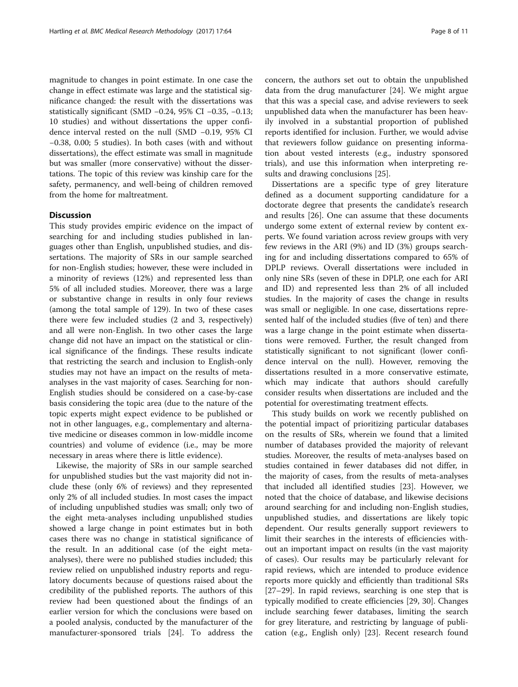magnitude to changes in point estimate. In one case the change in effect estimate was large and the statistical significance changed: the result with the dissertations was statistically significant (SMD −0.24, 95% CI −0.35, −0.13; 10 studies) and without dissertations the upper confidence interval rested on the null (SMD −0.19, 95% CI −0.38, 0.00; 5 studies). In both cases (with and without dissertations), the effect estimate was small in magnitude but was smaller (more conservative) without the dissertations. The topic of this review was kinship care for the safety, permanency, and well-being of children removed from the home for maltreatment.

## **Discussion**

This study provides empiric evidence on the impact of searching for and including studies published in languages other than English, unpublished studies, and dissertations. The majority of SRs in our sample searched for non-English studies; however, these were included in a minority of reviews (12%) and represented less than 5% of all included studies. Moreover, there was a large or substantive change in results in only four reviews (among the total sample of 129). In two of these cases there were few included studies (2 and 3, respectively) and all were non-English. In two other cases the large change did not have an impact on the statistical or clinical significance of the findings. These results indicate that restricting the search and inclusion to English-only studies may not have an impact on the results of metaanalyses in the vast majority of cases. Searching for non-English studies should be considered on a case-by-case basis considering the topic area (due to the nature of the topic experts might expect evidence to be published or not in other languages, e.g., complementary and alternative medicine or diseases common in low-middle income countries) and volume of evidence (i.e., may be more necessary in areas where there is little evidence).

Likewise, the majority of SRs in our sample searched for unpublished studies but the vast majority did not include these (only 6% of reviews) and they represented only 2% of all included studies. In most cases the impact of including unpublished studies was small; only two of the eight meta-analyses including unpublished studies showed a large change in point estimates but in both cases there was no change in statistical significance of the result. In an additional case (of the eight metaanalyses), there were no published studies included; this review relied on unpublished industry reports and regulatory documents because of questions raised about the credibility of the published reports. The authors of this review had been questioned about the findings of an earlier version for which the conclusions were based on a pooled analysis, conducted by the manufacturer of the manufacturer-sponsored trials [\[24](#page-9-0)]. To address the

concern, the authors set out to obtain the unpublished data from the drug manufacturer [\[24\]](#page-9-0). We might argue that this was a special case, and advise reviewers to seek unpublished data when the manufacturer has been heavily involved in a substantial proportion of published reports identified for inclusion. Further, we would advise that reviewers follow guidance on presenting information about vested interests (e.g., industry sponsored trials), and use this information when interpreting results and drawing conclusions [\[25\]](#page-10-0).

Dissertations are a specific type of grey literature defined as a document supporting candidature for a doctorate degree that presents the candidate's research and results [\[26\]](#page-10-0). One can assume that these documents undergo some extent of external review by content experts. We found variation across review groups with very few reviews in the ARI (9%) and ID (3%) groups searching for and including dissertations compared to 65% of DPLP reviews. Overall dissertations were included in only nine SRs (seven of these in DPLP, one each for ARI and ID) and represented less than 2% of all included studies. In the majority of cases the change in results was small or negligible. In one case, dissertations represented half of the included studies (five of ten) and there was a large change in the point estimate when dissertations were removed. Further, the result changed from statistically significant to not significant (lower confidence interval on the null). However, removing the dissertations resulted in a more conservative estimate, which may indicate that authors should carefully consider results when dissertations are included and the potential for overestimating treatment effects.

This study builds on work we recently published on the potential impact of prioritizing particular databases on the results of SRs, wherein we found that a limited number of databases provided the majority of relevant studies. Moreover, the results of meta-analyses based on studies contained in fewer databases did not differ, in the majority of cases, from the results of meta-analyses that included all identified studies [[23\]](#page-9-0). However, we noted that the choice of database, and likewise decisions around searching for and including non-English studies, unpublished studies, and dissertations are likely topic dependent. Our results generally support reviewers to limit their searches in the interests of efficiencies without an important impact on results (in the vast majority of cases). Our results may be particularly relevant for rapid reviews, which are intended to produce evidence reports more quickly and efficiently than traditional SRs [[27](#page-10-0)–[29](#page-10-0)]. In rapid reviews, searching is one step that is typically modified to create efficiencies [[29](#page-10-0), [30](#page-10-0)]. Changes include searching fewer databases, limiting the search for grey literature, and restricting by language of publication (e.g., English only) [\[23](#page-9-0)]. Recent research found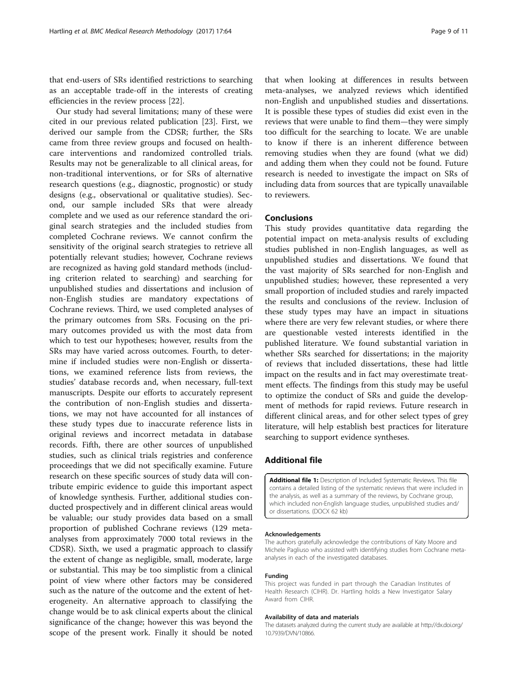<span id="page-8-0"></span>that end-users of SRs identified restrictions to searching as an acceptable trade-off in the interests of creating efficiencies in the review process [[22\]](#page-9-0).

Our study had several limitations; many of these were cited in our previous related publication [\[23](#page-9-0)]. First, we derived our sample from the CDSR; further, the SRs came from three review groups and focused on healthcare interventions and randomized controlled trials. Results may not be generalizable to all clinical areas, for non-traditional interventions, or for SRs of alternative research questions (e.g., diagnostic, prognostic) or study designs (e.g., observational or qualitative studies). Second, our sample included SRs that were already complete and we used as our reference standard the original search strategies and the included studies from completed Cochrane reviews. We cannot confirm the sensitivity of the original search strategies to retrieve all potentially relevant studies; however, Cochrane reviews are recognized as having gold standard methods (including criterion related to searching) and searching for unpublished studies and dissertations and inclusion of non-English studies are mandatory expectations of Cochrane reviews. Third, we used completed analyses of the primary outcomes from SRs. Focusing on the primary outcomes provided us with the most data from which to test our hypotheses; however, results from the SRs may have varied across outcomes. Fourth, to determine if included studies were non-English or dissertations, we examined reference lists from reviews, the studies' database records and, when necessary, full-text manuscripts. Despite our efforts to accurately represent the contribution of non-English studies and dissertations, we may not have accounted for all instances of these study types due to inaccurate reference lists in original reviews and incorrect metadata in database records. Fifth, there are other sources of unpublished studies, such as clinical trials registries and conference proceedings that we did not specifically examine. Future research on these specific sources of study data will contribute empiric evidence to guide this important aspect of knowledge synthesis. Further, additional studies conducted prospectively and in different clinical areas would be valuable; our study provides data based on a small proportion of published Cochrane reviews (129 metaanalyses from approximately 7000 total reviews in the CDSR). Sixth, we used a pragmatic approach to classify the extent of change as negligible, small, moderate, large or substantial. This may be too simplistic from a clinical point of view where other factors may be considered such as the nature of the outcome and the extent of heterogeneity. An alternative approach to classifying the change would be to ask clinical experts about the clinical significance of the change; however this was beyond the scope of the present work. Finally it should be noted

that when looking at differences in results between meta-analyses, we analyzed reviews which identified non-English and unpublished studies and dissertations. It is possible these types of studies did exist even in the reviews that were unable to find them—they were simply too difficult for the searching to locate. We are unable to know if there is an inherent difference between removing studies when they are found (what we did) and adding them when they could not be found. Future research is needed to investigate the impact on SRs of including data from sources that are typically unavailable to reviewers.

## Conclusions

This study provides quantitative data regarding the potential impact on meta-analysis results of excluding studies published in non-English languages, as well as unpublished studies and dissertations. We found that the vast majority of SRs searched for non-English and unpublished studies; however, these represented a very small proportion of included studies and rarely impacted the results and conclusions of the review. Inclusion of these study types may have an impact in situations where there are very few relevant studies, or where there are questionable vested interests identified in the published literature. We found substantial variation in whether SRs searched for dissertations; in the majority of reviews that included dissertations, these had little impact on the results and in fact may overestimate treatment effects. The findings from this study may be useful to optimize the conduct of SRs and guide the development of methods for rapid reviews. Future research in different clinical areas, and for other select types of grey literature, will help establish best practices for literature searching to support evidence syntheses.

## Additional file

[Additional file 1:](dx.doi.org/10.1186/s12874-017-0347-z) Description of Included Systematic Reviews. This file contains a detailed listing of the systematic reviews that were included in the analysis, as well as a summary of the reviews, by Cochrane group, which included non-English language studies, unpublished studies and/ or dissertations. (DOCX 62 kb)

#### Acknowledgements

The authors gratefully acknowledge the contributions of Katy Moore and Michele Pagliuso who assisted with identifying studies from Cochrane metaanalyses in each of the investigated databases.

#### Funding

This project was funded in part through the Canadian Institutes of Health Research (CIHR). Dr. Hartling holds a New Investigator Salary Award from CIHR.

#### Availability of data and materials

The datasets analyzed during the current study are available at [http://dx.doi.org/](http://dx.doi.org/10.7939/DVN/10866) [10.7939/DVN/10866.](http://dx.doi.org/10.7939/DVN/10866)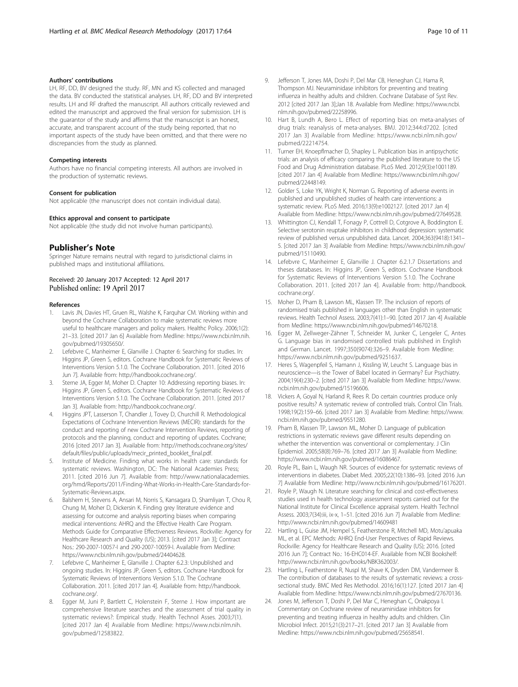## <span id="page-9-0"></span>Authors' contributions

LH, RF, DD, BV designed the study. RF, MN and KS collected and managed the data. BV conducted the statistical analyses. LH, RF, DD and BV interpreted results. LH and RF drafted the manuscript. All authors critically reviewed and edited the manuscript and approved the final version for submission. LH is the guarantor of the study and affirms that the manuscript is an honest, accurate, and transparent account of the study being reported, that no important aspects of the study have been omitted, and that there were no discrepancies from the study as planned.

## Competing interests

Authors have no financial competing interests. All authors are involved in the production of systematic reviews.

#### Consent for publication

Not applicable (the manuscript does not contain individual data).

## Ethics approval and consent to participate

Not applicable (the study did not involve human participants).

## Publisher's Note

Springer Nature remains neutral with regard to jurisdictional claims in published maps and institutional affiliations.

### Received: 20 January 2017 Accepted: 12 April 2017 Published online: 19 April 2017

#### References

- 1. Lavis JN, Davies HT, Gruen RL, Walshe K, Farquhar CM. Working within and beyond the Cochrane Collaboration to make systematic reviews more useful to healthcare managers and policy makers. Healthc Policy. 2006;1(2): 21–33. [cited 2017 Jan 6] Available from Medline: [https://www.ncbi.nlm.nih.](https://www.ncbi.nlm.nih.gov/pubmed/19305650/) [gov/pubmed/19305650/.](https://www.ncbi.nlm.nih.gov/pubmed/19305650/)
- 2. Lefebvre C, Manheimer E, Glanville J. Chapter 6: Searching for studies. In: Higgins JP, Green S, editors. Cochrane Handbook for Systematic Reviews of Interventions Version 5.1.0. The Cochrane Collaboration. 2011. [cited 2016] Jun 7]. Available from: [http://handbook.cochrane.org/.](http://handbook.cochrane.org/)
- Sterne JA, Egger M, Moher D. Chapter 10: Addressing reporting biases. In: Higgins JP, Green S, editors. Cochrane Handbook for Systematic Reviews of Interventions Version 5.1.0. The Cochrane Collaboration. 2011. [cited 2017 Jan 3]. Available from:<http://handbook.cochrane.org/>.
- 4. Higgins JPT, Lasserson T, Chandler J, Tovey D, Churchill R. Methodological Expectations of Cochrane Intervention Reviews (MECIR): standards for the conduct and reporting of new Cochrane Intervention Reviews, reporting of protocols and the planning, conduct and reporting of updates. Cochrane; 2016 [cited 2017 Jan 3]. Available from: [http://methods.cochrane.org/sites/](http://methods.cochrane.org/sites/default/files/public/uploads/mecir_printed_booklet_final.pdf) [default/files/public/uploads/mecir\\_printed\\_booklet\\_final.pdf](http://methods.cochrane.org/sites/default/files/public/uploads/mecir_printed_booklet_final.pdf).
- 5. Institute of Medicine. Finding what works in health care: standards for systematic reviews. Washington, DC: The National Academies Press; 2011. [cited 2016 Jun 7]. Available from: [http://www.nationalacademies.](http://www.nationalacademies.org/hmd/Reports/2011/Finding-What-Works-in-Health-Care-Standards-for-Systematic-Reviews.aspx) [org/hmd/Reports/2011/Finding-What-Works-in-Health-Care-Standards-for-](http://www.nationalacademies.org/hmd/Reports/2011/Finding-What-Works-in-Health-Care-Standards-for-Systematic-Reviews.aspx)[Systematic-Reviews.aspx.](http://www.nationalacademies.org/hmd/Reports/2011/Finding-What-Works-in-Health-Care-Standards-for-Systematic-Reviews.aspx)
- 6. Balshem H, Stevens A, Ansari M, Norris S, Kansagara D, Shamliyan T, Chou R, Chung M, Moher D, Dickersin K. Finding grey literature evidence and assessing for outcome and analysis reporting biases when comparing medical interventions: AHRQ and the Effective Health Care Program. Methods Guide for Comparative Effectiveness Reviews. Rockville: Agency for Healthcare Research and Quality (US); 2013. [cited 2017 Jan 3]; Contract Nos.: 290-2007-10057-I and 290-2007-10059-I. Available from Medline: <https://www.ncbi.nlm.nih.gov/pubmed/24404628>.
- Lefebvre C, Manheimer E, Glanville J. Chapter 6.2.3: Unpublished and ongoing studies. In: Higgins JP, Green S, editors. Cochrane Handbook for Systematic Reviews of Interventions Version 5.1.0. The Cochrane Collaboration. 2011. [cited 2017 Jan 4]. Available from: [http://handbook.](http://handbook.cochrane.org/) [cochrane.org/](http://handbook.cochrane.org/).
- Egger M, Juni P, Bartlett C, Holenstein F, Sterne J. How important are comprehensive literature searches and the assessment of trial quality in systematic reviews?: Empirical study. Health Technol Asses. 2003;7(1). [cited 2017 Jan 4] Available from Medline: [https://www.ncbi.nlm.nih.](https://www.ncbi.nlm.nih.gov/pubmed/12583822) [gov/pubmed/12583822.](https://www.ncbi.nlm.nih.gov/pubmed/12583822)
- Jefferson T, Jones MA, Doshi P, Del Mar CB, Heneghan CJ, Hama R, Thompson MJ. Neuraminidase inhibitors for preventing and treating influenza in healthy adults and children. Cochrane Database of Syst Rev. 2012 [cited 2017 Jan 3];Jan 18. Available from Medline: [https://www.ncbi.](https://www.ncbi.nlm.nih.gov/pubmed/22258996) [nlm.nih.gov/pubmed/22258996.](https://www.ncbi.nlm.nih.gov/pubmed/22258996)
- 10. Hart B, Lundh A, Bero L. Effect of reporting bias on meta-analyses of drug trials: reanalysis of meta-analyses. BMJ. 2012;344:d7202. [cited 2017 Jan 3] Available from Medline: [https://www.ncbi.nlm.nih.gov/](https://www.ncbi.nlm.nih.gov/pubmed/22214754) [pubmed/22214754.](https://www.ncbi.nlm.nih.gov/pubmed/22214754)
- 11. Turner EH, Knoepflmacher D, Shapley L. Publication bias in antipsychotic trials: an analysis of efficacy comparing the published literature to the US Food and Drug Administration database. PLoS Med. 2012;9(3):e1001189. [cited 2017 Jan 4] Available from Medline: [https://www.ncbi.nlm.nih.gov/](https://www.ncbi.nlm.nih.gov/pubmed/22448149) [pubmed/22448149.](https://www.ncbi.nlm.nih.gov/pubmed/22448149)
- 12. Golder S, Loke YK, Wright K, Norman G. Reporting of adverse events in published and unpublished studies of health care interventions: a systematic review. PLoS Med. 2016;13(9):e1002127. [cited 2017 Jan 4] Available from Medline: [https://www.ncbi.nlm.nih.gov/pubmed/27649528.](https://www.ncbi.nlm.nih.gov/pubmed/27649528)
- 13. Whittington CJ, Kendall T, Fonagy P, Cottrell D, Cotgrove A, Boddington E. Selective serotonin reuptake inhibitors in childhood depression: systematic review of published versus unpublished data. Lancet. 2004;363(9418):1341– 5. [cited 2017 Jan 3] Available from Medline: [https://www.ncbi.nlm.nih.gov/](https://www.ncbi.nlm.nih.gov/pubmed/15110490) [pubmed/15110490.](https://www.ncbi.nlm.nih.gov/pubmed/15110490)
- 14. Lefebvre C, Manheimer E, Glanville J. Chapter 6.2.1.7 Dissertations and theses databases. In: Higgins JP, Green S, editors. Cochrane Handbook for Systematic Reviews of Interventions Version 5.1.0. The Cochrane Collaboration. 2011. [cited 2017 Jan 4]. Available from: [http://handbook.](http://handbook.cochrane.org/) [cochrane.org/.](http://handbook.cochrane.org/)
- 15. Moher D, Pham B, Lawson ML, Klassen TP. The inclusion of reports of randomised trials published in languages other than English in systematic reviews. Health Technol Assess. 2003;7(41):1–90. [cited 2017 Jan 4] Available from Medline:<https://www.ncbi.nlm.nih.gov/pubmed/14670218>.
- 16. Egger M, Zellweger-Zähner T, Schneider M, Junker C, Lengeler C, Antes G. Language bias in randomised controlled trials published in English and German. Lancet. 1997;350(9074):326–9. Available from Medline: [https://www.ncbi.nlm.nih.gov/pubmed/9251637.](https://www.ncbi.nlm.nih.gov/pubmed/9251637)
- 17. Heres S, Wagenpfeil S, Hamann J, Kissling W, Leucht S. Language bias in neuroscience—is the Tower of Babel located in Germany? Eur Psychiatry. 2004;19(4):230–2. [cited 2017 Jan 3] Available from Medline: [https://www.](https://www.ncbi.nlm.nih.gov/pubmed/15196606) [ncbi.nlm.nih.gov/pubmed/15196606](https://www.ncbi.nlm.nih.gov/pubmed/15196606).
- 18. Vickers A, Goyal N, Harland R, Rees R. Do certain countries produce only positive results? A systematic review of controlled trials. Control Clin Trials. 1998;19(2):159–66. [cited 2017 Jan 3] Available from Medline: [https://www.](https://www.ncbi.nlm.nih.gov/pubmed/9551280) [ncbi.nlm.nih.gov/pubmed/9551280.](https://www.ncbi.nlm.nih.gov/pubmed/9551280)
- 19. Pham B, Klassen TP, Lawson ML, Moher D. Language of publication restrictions in systematic reviews gave different results depending on whether the intervention was conventional or complementary. J Clin Epidemiol. 2005;58(8):769–76. [cited 2017 Jan 3] Available from Medline: <https://www.ncbi.nlm.nih.gov/pubmed/16086467>.
- 20. Royle PL, Bain L, Waugh NR. Sources of evidence for systematic reviews of interventions in diabetes. Diabet Med. 2005;22(10):1386–93. [cited 2016 Jun 7] Available from Medline: [http://www.ncbi.nlm.nih.gov/pubmed/16176201.](http://www.ncbi.nlm.nih.gov/pubmed/16176201)
- 21. Royle P, Waugh N. Literature searching for clinical and cost-effectiveness studies used in health technology assessment reports carried out for the National Institute for Clinical Excellence appraisal system. Health Technol Assess. 2003;7(34):iii, ix-x, 1–51. [cited 2016 Jun 7] Available from Medline: <http://www.ncbi.nlm.nih.gov/pubmed/14609481>
- 22. Hartling L, Guise JM, Hempel S, Featherstone R, Mitchell MD, Motu'apuaka ML, et al. EPC Methods: AHRQ End-User Perspectives of Rapid Reviews. Rockville: Agency for Healthcare Research and Quality (US); 2016. [cited 2016 Jun 7]; Contract No.: 16-EHC014-EF. Available from NCBI Bookshelf: <http://www.ncbi.nlm.nih.gov/books/NBK362003/>.
- 23. Hartling L, Featherstone R, Nuspl M, Shave K, Dryden DM, Vandermeer B. The contribution of databases to the results of systematic reviews: a crosssectional study. BMC Med Res Methodol. 2016;16(1):127. [cited 2017 Jan 4] Available from Medline: [https://www.ncbi.nlm.nih.gov/pubmed/27670136.](https://www.ncbi.nlm.nih.gov/pubmed/27670136)
- 24. Jones M, Jefferson T, Doshi P, Del Mar C, Heneghan C, Onakpoya I. Commentary on Cochrane review of neuraminidase inhibitors for preventing and treating influenza in healthy adults and children. Clin Microbiol Infect. 2015;21(3):217–21. [cited 2017 Jan 3] Available from Medline: [https://www.ncbi.nlm.nih.gov/pubmed/25658541.](https://www.ncbi.nlm.nih.gov/pubmed/25658541)